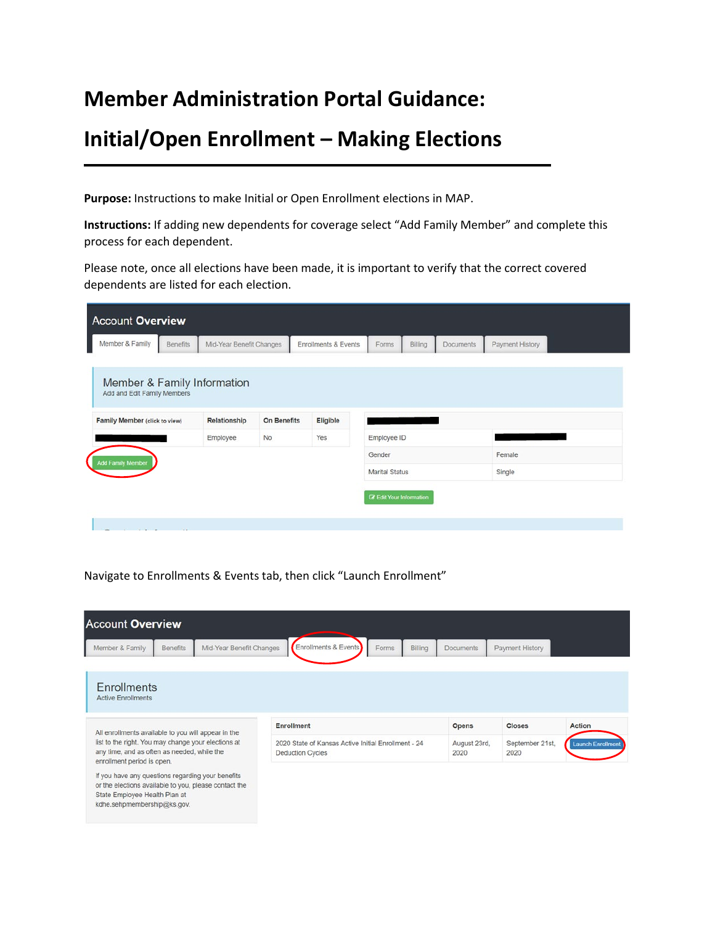## **Member Administration Portal Guidance:**

## **Initial/Open Enrollment – Making Elections**

**Purpose:** Instructions to make Initial or Open Enrollment elections in MAP.

**Instructions:** If adding new dependents for coverage select "Add Family Member" and complete this process for each dependent.

Please note, once all elections have been made, it is important to verify that the correct covered dependents are listed for each election.

| Member & Family Information   |                             |          |                       |        |  |
|-------------------------------|-----------------------------|----------|-----------------------|--------|--|
| Add and Edit Family Members   |                             |          |                       |        |  |
| Family Member (click to view) | Relationship<br>On Benefits | Eligible |                       |        |  |
| Employee                      | No                          | Yes      | Employee ID           |        |  |
| <b>Add Family Member</b>      |                             |          | Gender                | Female |  |
|                               |                             |          | <b>Marital Status</b> | Single |  |

Navigate to Enrollments & Events tab, then click "Launch Enrollment"

| <b>Account Overview</b>                                                                                                                                                    |                                                                          |                              |                                  |                                    |
|----------------------------------------------------------------------------------------------------------------------------------------------------------------------------|--------------------------------------------------------------------------|------------------------------|----------------------------------|------------------------------------|
| Mid-Year Benefit Changes<br><b>Benefits</b><br>Member & Family                                                                                                             | Enrollments & Events<br>Billing<br>Forms                                 | <b>Documents</b>             | Payment History                  |                                    |
| <b>Enrollments</b><br><b>Active Enrollments</b>                                                                                                                            |                                                                          |                              |                                  |                                    |
| All enrollments available to you will appear in the<br>list to the right. You may change your elections at                                                                 | <b>Enrollment</b><br>2020 State of Kansas Active Initial Enrollment - 24 | <b>Opens</b><br>August 23rd, | <b>Closes</b><br>September 21st, | Action<br><b>Launch Enrollment</b> |
| any time, and as often as needed, while the<br>enrollment period is open.                                                                                                  | <b>Deduction Cycles</b>                                                  | 2020                         | 2020                             |                                    |
| If you have any questions regarding your benefits<br>or the elections available to you, please contact the<br>State Employee Health Plan at<br>kdhe.sehpmembership@ks.gov. |                                                                          |                              |                                  |                                    |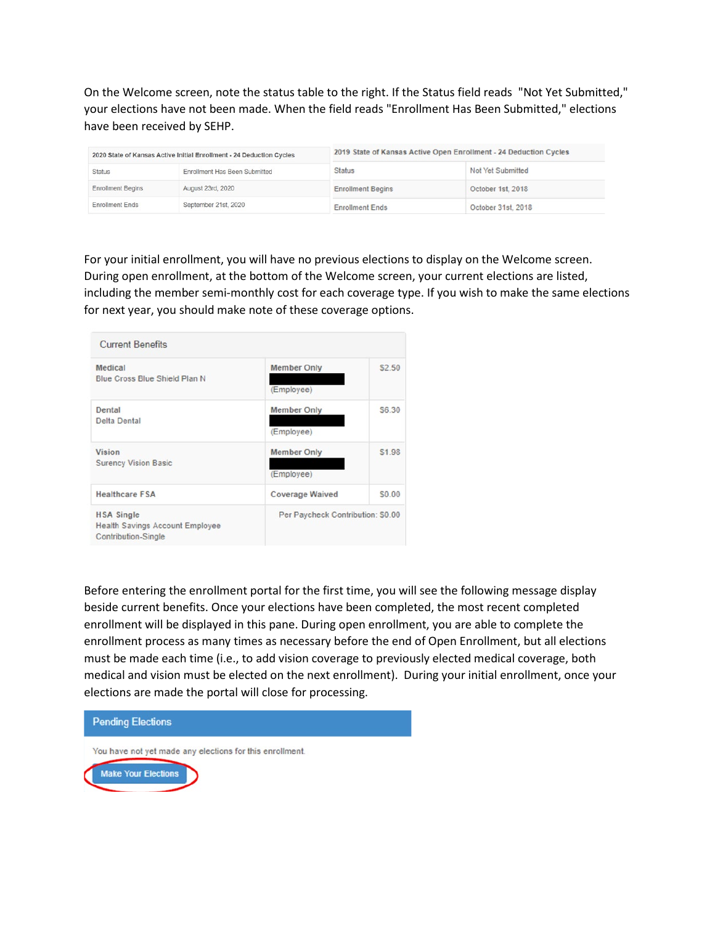On the Welcome screen, note the status table to the right. If the Status field reads "Not Yet Submitted," your elections have not been made. When the field reads "Enrollment Has Been Submitted," elections have been received by SEHP.

| 2020 State of Kansas Active Initial Enrollment - 24 Deduction Cycles |                               |                          | 2019 State of Kansas Active Open Enrollment - 24 Deduction Cycles |
|----------------------------------------------------------------------|-------------------------------|--------------------------|-------------------------------------------------------------------|
| <b>Status</b>                                                        | Enrollment Has Been Submitted | <b>Status</b>            | Not Yet Submitted                                                 |
| <b>Enrollment Begins</b>                                             | August 23rd, 2020             | <b>Enrollment Begins</b> | October 1st, 2018                                                 |
| <b>Enrollment Ends</b>                                               | September 21st, 2020          | <b>Enrollment Ends</b>   | October 31st, 2018                                                |

 For your initial enrollment, you will have no previous elections to display on the Welcome screen. During open enrollment, at the bottom of the Welcome screen, your current elections are listed, including the member semi-monthly cost for each coverage type. If you wish to make the same elections for next year, you should make note of these coverage options.

| <b>Current Benefits</b>                                                            |                                   |        |  |
|------------------------------------------------------------------------------------|-----------------------------------|--------|--|
| Medical                                                                            | <b>Member Only</b>                | \$2.50 |  |
| <b>Blue Cross Blue Shield Plan N</b>                                               | (Employee)                        |        |  |
| Dental                                                                             | <b>Member Only</b>                | \$6.30 |  |
| <b>Delta Dental</b>                                                                | (Employee)                        |        |  |
| <b>Vision</b>                                                                      | <b>Member Only</b>                | \$1.98 |  |
| <b>Surency Vision Basic</b>                                                        | (Employee)                        |        |  |
| <b>Healthcare FSA</b>                                                              | <b>Coverage Waived</b>            | \$0.00 |  |
| <b>HSA Single</b><br><b>Health Savings Account Employee</b><br>Contribution-Single | Per Paycheck Contribution: \$0.00 |        |  |

 Before entering the enrollment portal for the first time, you will see the following message display enrollment process as many times as necessary before the end of Open Enrollment, but all elections must be made each time (i.e., to add vision coverage to previously elected medical coverage, both elections are made the portal will close for processing. beside current benefits. Once your elections have been completed, the most recent completed enrollment will be displayed in this pane. During open enrollment, you are able to complete the medical and vision must be elected on the next enrollment). During your initial enrollment, once your

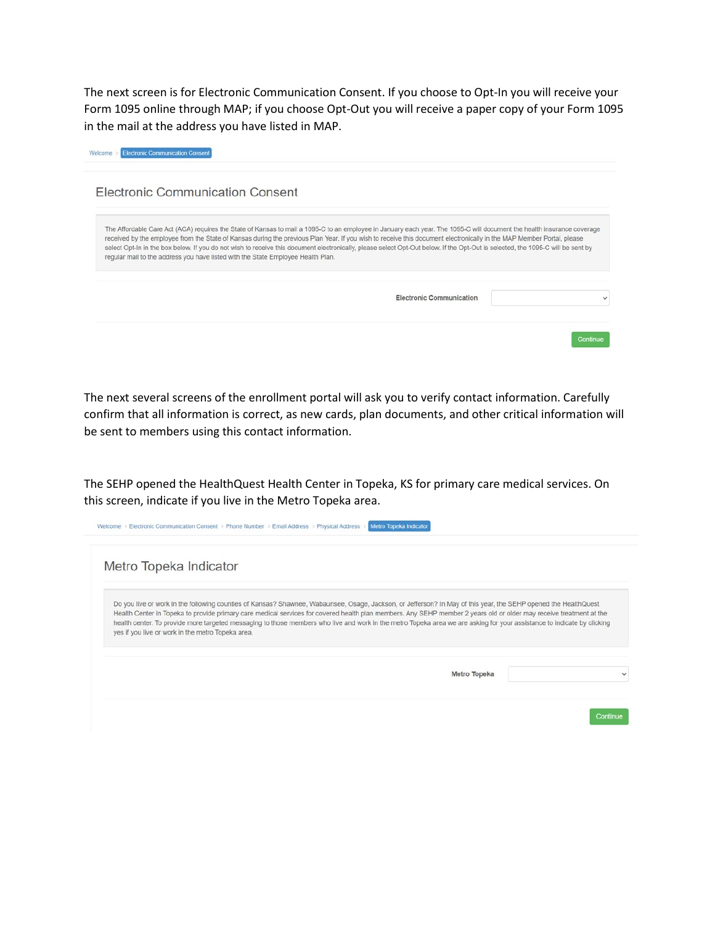The next screen is for Electronic Communication Consent. If you choose to Opt-In you will receive your Form 1095 online through MAP; if you choose Opt-Out you will receive a paper copy of your Form 1095 in the mail at the address you have listed in MAP.

| <b>Electronic Communication Consent</b>                                                                                                                                                                                                                                                                                                                                                                                                                                                                                                                                                                                 |                          |          |
|-------------------------------------------------------------------------------------------------------------------------------------------------------------------------------------------------------------------------------------------------------------------------------------------------------------------------------------------------------------------------------------------------------------------------------------------------------------------------------------------------------------------------------------------------------------------------------------------------------------------------|--------------------------|----------|
|                                                                                                                                                                                                                                                                                                                                                                                                                                                                                                                                                                                                                         |                          |          |
| The Affordable Care Act (ACA) requires the State of Kansas to mail a 1095-C to an employee in January each year. The 1095-C will document the health insurance coverage<br>received by the employee from the State of Kansas during the previous Plan Year. If you wish to receive this document electronically in the MAP Member Portal, please<br>select Opt-In in the box below. If you do not wish to receive this document electronically, please select Opt-Out below. If the Opt-Out is selected, the 1095-C will be sent by<br>regular mail to the address you have listed with the State Employee Health Plan. |                          |          |
|                                                                                                                                                                                                                                                                                                                                                                                                                                                                                                                                                                                                                         | Electronic Communication |          |
|                                                                                                                                                                                                                                                                                                                                                                                                                                                                                                                                                                                                                         |                          | Continue |

The next several screens of the enrollment portal will ask you to verify contact information. Carefully confirm that all information is correct, as new cards, plan documents, and other critical information will be sent to members using this contact information.

The SEHP opened the HealthQuest Health Center in Topeka, KS for primary care medical services. On this screen, indicate if you live in the Metro Topeka area.

| Metro Topeka Indicator                                                                                                                                                                                                                                                                                                                                                                                                                                                                                                                                                 |  |
|------------------------------------------------------------------------------------------------------------------------------------------------------------------------------------------------------------------------------------------------------------------------------------------------------------------------------------------------------------------------------------------------------------------------------------------------------------------------------------------------------------------------------------------------------------------------|--|
| Do you live or work in the following counties of Kansas? Shawnee, Wabaunsee, Osage, Jackson, or Jefferson? In May of this year, the SEHP opened the HealthQuest<br>Health Center in Topeka to provide primary care medical services for covered health plan members. Any SEHP member 2 years old or older may receive treatment at the<br>health center. To provide more targeted messaging to those members who live and work in the metro Topeka area we are asking for your assistance to indicate by clicking<br>yes if you live or work in the metro Topeka area. |  |
|                                                                                                                                                                                                                                                                                                                                                                                                                                                                                                                                                                        |  |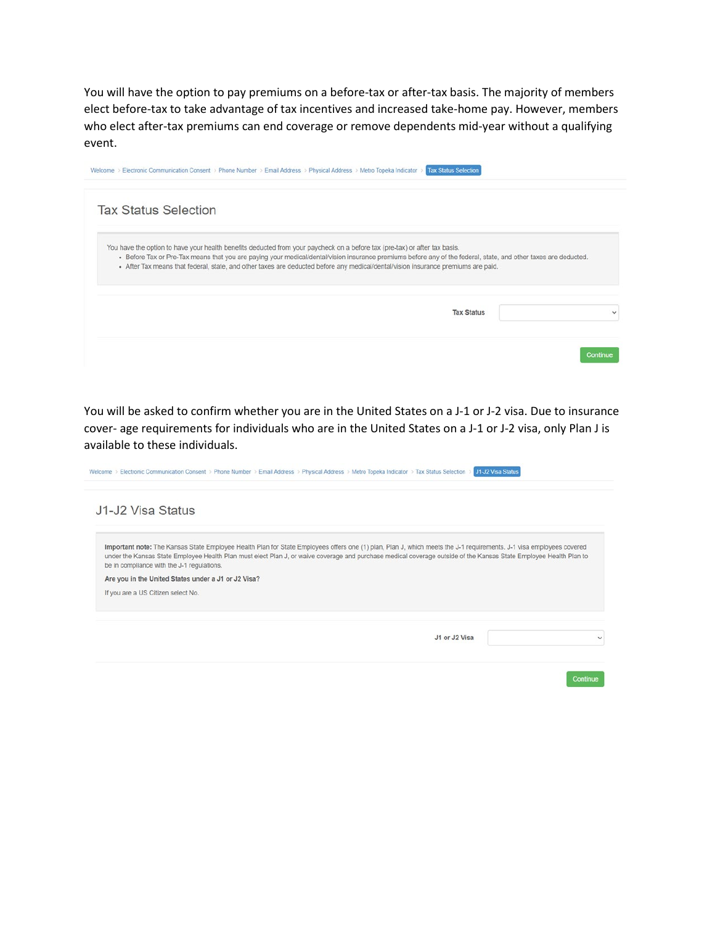You will have the option to pay premiums on a before-tax or after-tax basis. The majority of members elect before-tax to take advantage of tax incentives and increased take-home pay. However, members who elect after-tax premiums can end coverage or remove dependents mid-year without a qualifying event.

| <b>Tax Status Selection</b>                                                                                                                                                                                                                                                                                                                                                                                                        |  |
|------------------------------------------------------------------------------------------------------------------------------------------------------------------------------------------------------------------------------------------------------------------------------------------------------------------------------------------------------------------------------------------------------------------------------------|--|
| You have the option to have your health benefits deducted from your paycheck on a before tax (pre-tax) or after tax basis.<br>. Before Tax or Pre-Tax means that you are paying your medical/dental/vision insurance premiums before any of the federal, state, and other taxes are deducted.<br>. After Tax means that federal, state, and other taxes are deducted before any medical/dental/vision insurance premiums are paid. |  |
|                                                                                                                                                                                                                                                                                                                                                                                                                                    |  |

You will be asked to confirm whether you are in the United States on a J-1 or J-2 visa. Due to insurance cover- age requirements for individuals who are in the United States on a J-1 or J-2 visa, only Plan J is available to these individuals.

| J1-J2 Visa Status                                                                                                                                                                                                                                                                                                                                                                                                                                                                    |               |  |
|--------------------------------------------------------------------------------------------------------------------------------------------------------------------------------------------------------------------------------------------------------------------------------------------------------------------------------------------------------------------------------------------------------------------------------------------------------------------------------------|---------------|--|
| Important note: The Kansas State Employee Health Plan for State Employees offers one (1) plan, Plan J, which meets the J-1 requirements. J-1 visa employees covered<br>under the Kansas State Employee Health Plan must elect Plan J, or waive coverage and purchase medical coverage outside of the Kansas State Employee Health Plan to<br>be in compliance with the J-1 regulations.<br>Are you in the United States under a J1 or J2 Visa?<br>If you are a US Citizen select No. |               |  |
|                                                                                                                                                                                                                                                                                                                                                                                                                                                                                      | J1 or J2 Visa |  |
|                                                                                                                                                                                                                                                                                                                                                                                                                                                                                      |               |  |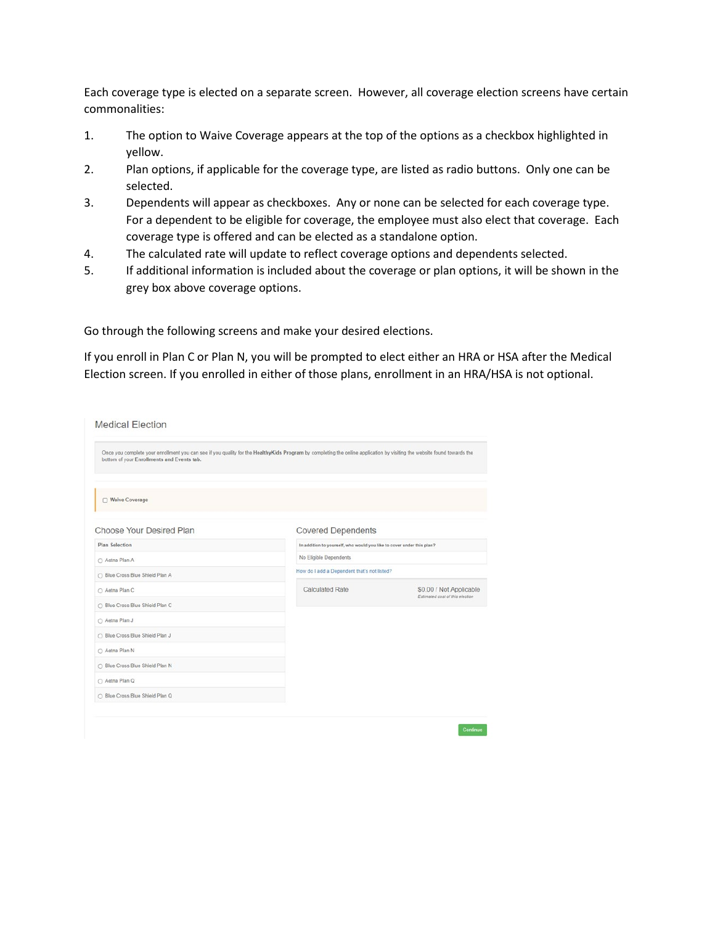Each coverage type is elected on a separate screen. However, all coverage election screens have certain commonalities:

- $1.$ The option to Waive Coverage appears at the top of the options as a checkbox highlighted in yellow.
- $2.$ Plan options, if applicable for the coverage type, are listed as radio buttons. Only one can be selected.
- 3. Dependents will appear as checkboxes. Any or none can be selected for each coverage type. For a dependent to be eligible for coverage, the employee must also elect that coverage. Each coverage type is offered and can be elected as a standalone option.
- 4. The calculated rate will update to reflect coverage options and dependents selected.
- 5. If additional information is included about the coverage or plan options, it will be shown in the grey box above coverage options.

Go through the following screens and make your desired elections.

If you enroll in Plan C or Plan N, you will be prompted to elect either an HRA or HSA after the Medical Election screen. If you enrolled in either of those plans, enrollment in an HRA/HSA is not optional.

| Once you complete your enrollment you can see if you quality for the HealthyKids Program by completing the online application by visiting the website found towards the<br>bottom of your Enrollments and Events tab. |                                                                       |                                 |
|-----------------------------------------------------------------------------------------------------------------------------------------------------------------------------------------------------------------------|-----------------------------------------------------------------------|---------------------------------|
| □ Waive Coverage                                                                                                                                                                                                      |                                                                       |                                 |
| Choose Your Desired Plan                                                                                                                                                                                              | <b>Covered Dependents</b>                                             |                                 |
| <b>Plan Selection</b>                                                                                                                                                                                                 | In addition to yourself, who would you like to cover under this plan? |                                 |
| ○ Aetna Plan A                                                                                                                                                                                                        | No Eligible Dependents                                                |                                 |
| O Blue Cross Blue Shield Plan A                                                                                                                                                                                       | How do I add a Dependent that's not listed?                           |                                 |
| ○ Aetna Plan C                                                                                                                                                                                                        | <b>Calculated Rate</b>                                                | \$0.00 / Not Applicable         |
| ○ Blue Cross Blue Shield Plan C                                                                                                                                                                                       |                                                                       | Estimated cost of this election |
| ○ Aetna Plan J                                                                                                                                                                                                        |                                                                       |                                 |
| ○ Blue Cross Blue Shield Plan J                                                                                                                                                                                       |                                                                       |                                 |
| ○ Aetna Plan N                                                                                                                                                                                                        |                                                                       |                                 |
| ○ Blue Cross Blue Shield Plan N                                                                                                                                                                                       |                                                                       |                                 |
| ○ Aetna Plan Q                                                                                                                                                                                                        |                                                                       |                                 |
| ○ Blue Cross Blue Shield Plan Q                                                                                                                                                                                       |                                                                       |                                 |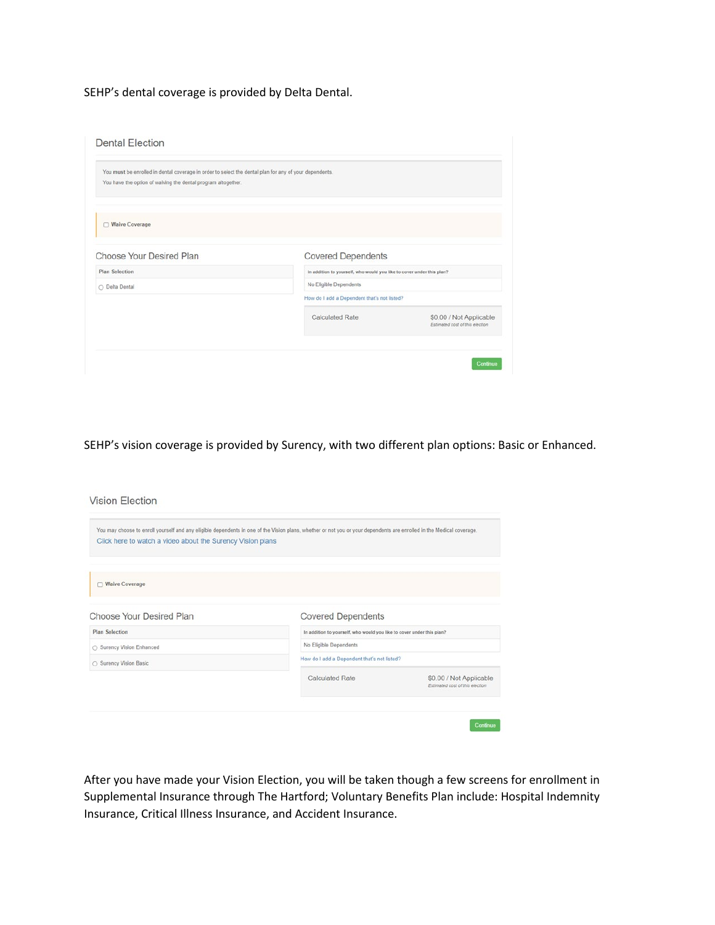SEHP's dental coverage is provided by Delta Dental.

| You have the option of waiving the dental program altogether. | You must be enrolled in dental coverage in order to select the dental plan for any of your dependents. |                                                            |
|---------------------------------------------------------------|--------------------------------------------------------------------------------------------------------|------------------------------------------------------------|
| Waive Coverage                                                |                                                                                                        |                                                            |
| Choose Your Desired Plan                                      | <b>Covered Dependents</b>                                                                              |                                                            |
| <b>Plan Selection</b>                                         | In addition to yourself, who would you like to cover under this plan?                                  |                                                            |
| O Delta Dental                                                | No Eligible Dependents                                                                                 |                                                            |
|                                                               | How do I add a Dependent that's not listed?                                                            |                                                            |
|                                                               | <b>Calculated Rate</b>                                                                                 | \$0.00 / Not Applicable<br>Estimated cost of this election |

SEHP's vision coverage is provided by Surency, with two different plan options: Basic or Enhanced.

Vision Election

| Click here to watch a video about the Surency Vision plans |                                                                       | You may choose to enroll yourself and any eligible dependents in one of the Vision plans, whether or not you or your dependents are enrolled in the Medical coverage. |
|------------------------------------------------------------|-----------------------------------------------------------------------|-----------------------------------------------------------------------------------------------------------------------------------------------------------------------|
|                                                            |                                                                       |                                                                                                                                                                       |
| □ Waive Coverage                                           |                                                                       |                                                                                                                                                                       |
| <b>Choose Your Desired Plan</b>                            | <b>Covered Dependents</b>                                             |                                                                                                                                                                       |
| <b>Plan Selection</b>                                      | In addition to yourself, who would you like to cover under this plan? |                                                                                                                                                                       |
| ○ Surency Vision Enhanced                                  | No Eligible Dependents                                                |                                                                                                                                                                       |
| ○ Surency Vision Basic                                     | How do I add a Dependent that's not listed?                           |                                                                                                                                                                       |
|                                                            | <b>Calculated Rate</b>                                                | \$0.00 / Not Applicable<br>Estimated cost of this election                                                                                                            |
|                                                            |                                                                       |                                                                                                                                                                       |

After you have made your Vision Election, you will be taken though a few screens for enrollment in Supplemental Insurance through The Hartford; Voluntary Benefits Plan include: Hospital Indemnity Insurance, Critical Illness Insurance, and Accident Insurance.